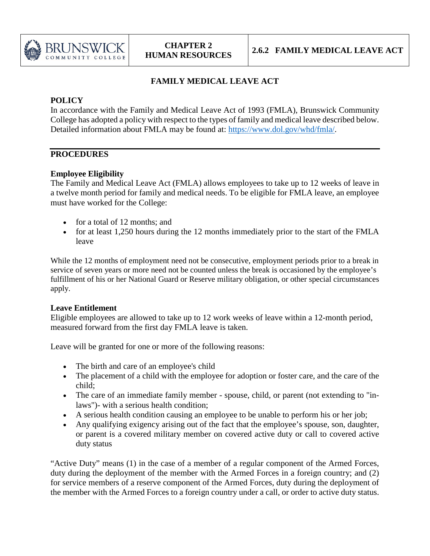

# **FAMILY MEDICAL LEAVE ACT**

## **POLICY**

In accordance with the Family and Medical Leave Act of 1993 (FMLA), Brunswick Community College has adopted a policy with respect to the types of family and medical leave described below. Detailed information about FMLA may be found at: [https://www.dol.gov/whd/fmla/.](https://www.dol.gov/whd/fmla/)

### **PROCEDURES**

## **Employee Eligibility**

The Family and Medical Leave Act (FMLA) allows employees to take up to 12 weeks of leave in a twelve month period for family and medical needs. To be eligible for FMLA leave, an employee must have worked for the College:

- for a total of 12 months; and
- for at least 1,250 hours during the 12 months immediately prior to the start of the FMLA leave

While the 12 months of employment need not be consecutive, employment periods prior to a break in service of seven years or more need not be counted unless the break is occasioned by the employee's fulfillment of his or her National Guard or Reserve military obligation, or other special circumstances apply.

### **Leave Entitlement**

Eligible employees are allowed to take up to 12 work weeks of leave within a 12-month period, measured forward from the first day FMLA leave is taken.

Leave will be granted for one or more of the following reasons:

- The birth and care of an employee's child
- The placement of a child with the employee for adoption or foster care, and the care of the child;
- The care of an immediate family member spouse, child, or parent (not extending to "inlaws")- with a serious health condition;
- A serious health condition causing an employee to be unable to perform his or her job;
- Any qualifying exigency arising out of the fact that the employee's spouse, son, daughter, or parent is a covered military member on covered active duty or call to covered active duty status

"Active Duty" means (1) in the case of a member of a regular component of the Armed Forces, duty during the deployment of the member with the Armed Forces in a foreign country; and (2) for service members of a reserve component of the Armed Forces, duty during the deployment of the member with the Armed Forces to a foreign country under a call, or order to active duty status.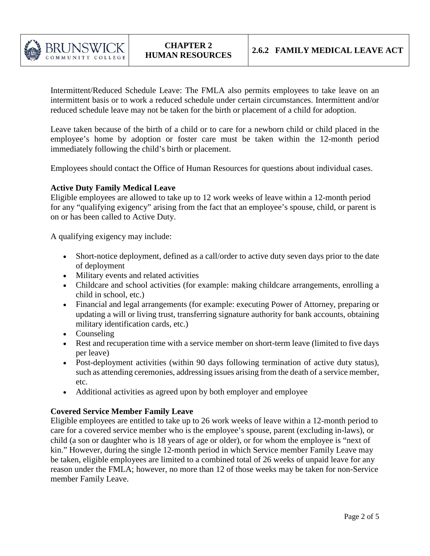

Intermittent/Reduced Schedule Leave: The FMLA also permits employees to take leave on an intermittent basis or to work a reduced schedule under certain circumstances. Intermittent and/or reduced schedule leave may not be taken for the birth or placement of a child for adoption.

Leave taken because of the birth of a child or to care for a newborn child or child placed in the employee's home by adoption or foster care must be taken within the 12-month period immediately following the child's birth or placement.

Employees should contact the Office of Human Resources for questions about individual cases.

#### **Active Duty Family Medical Leave**

Eligible employees are allowed to take up to 12 work weeks of leave within a 12-month period for any "qualifying exigency" arising from the fact that an employee's spouse, child, or parent is on or has been called to Active Duty.

A qualifying exigency may include:

- Short-notice deployment, defined as a call/order to active duty seven days prior to the date of deployment
- Military events and related activities
- Childcare and school activities (for example: making childcare arrangements, enrolling a child in school, etc.)
- Financial and legal arrangements (for example: executing Power of Attorney, preparing or updating a will or living trust, transferring signature authority for bank accounts, obtaining military identification cards, etc.)
- Counseling
- Rest and recuperation time with a service member on short-term leave (limited to five days per leave)
- Post-deployment activities (within 90 days following termination of active duty status), such as attending ceremonies, addressing issues arising from the death of a service member, etc.
- Additional activities as agreed upon by both employer and employee

#### **Covered Service Member Family Leave**

Eligible employees are entitled to take up to 26 work weeks of leave within a 12-month period to care for a covered service member who is the employee's spouse, parent (excluding in-laws), or child (a son or daughter who is 18 years of age or older), or for whom the employee is "next of kin." However, during the single 12-month period in which Service member Family Leave may be taken, eligible employees are limited to a combined total of 26 weeks of unpaid leave for any reason under the FMLA; however, no more than 12 of those weeks may be taken for non-Service member Family Leave.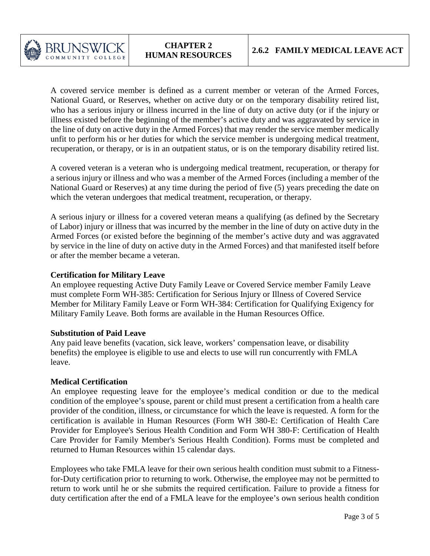

A covered service member is defined as a current member or veteran of the Armed Forces, National Guard, or Reserves, whether on active duty or on the temporary disability retired list, who has a serious injury or illness incurred in the line of duty on active duty (or if the injury or illness existed before the beginning of the member's active duty and was aggravated by service in the line of duty on active duty in the Armed Forces) that may render the service member medically unfit to perform his or her duties for which the service member is undergoing medical treatment, recuperation, or therapy, or is in an outpatient status, or is on the temporary disability retired list.

A covered veteran is a veteran who is undergoing medical treatment, recuperation, or therapy for a serious injury or illness and who was a member of the Armed Forces (including a member of the National Guard or Reserves) at any time during the period of five (5) years preceding the date on which the veteran undergoes that medical treatment, recuperation, or therapy.

A serious injury or illness for a covered veteran means a qualifying (as defined by the Secretary of Labor) injury or illness that was incurred by the member in the line of duty on active duty in the Armed Forces (or existed before the beginning of the member's active duty and was aggravated by service in the line of duty on active duty in the Armed Forces) and that manifested itself before or after the member became a veteran.

#### **Certification for Military Leave**

An employee requesting Active Duty Family Leave or Covered Service member Family Leave must complete Form WH-385: Certification for Serious Injury or Illness of Covered Service Member for Military Family Leave or Form WH-384: Certification for Qualifying Exigency for Military Family Leave. Both forms are available in the Human Resources Office.

#### **Substitution of Paid Leave**

Any paid leave benefits (vacation, sick leave, workers' compensation leave, or disability benefits) the employee is eligible to use and elects to use will run concurrently with FMLA leave.

#### **Medical Certification**

An employee requesting leave for the employee's medical condition or due to the medical condition of the employee's spouse, parent or child must present a certification from a health care provider of the condition, illness, or circumstance for which the leave is requested. A form for the certification is available in Human Resources (Form WH 380-E: Certification of Health Care Provider for Employee's Serious Health Condition and Form WH 380-F: Certification of Health Care Provider for Family Member's Serious Health Condition). Forms must be completed and returned to Human Resources within 15 calendar days.

Employees who take FMLA leave for their own serious health condition must submit to a Fitnessfor-Duty certification prior to returning to work. Otherwise, the employee may not be permitted to return to work until he or she submits the required certification. Failure to provide a fitness for duty certification after the end of a FMLA leave for the employee's own serious health condition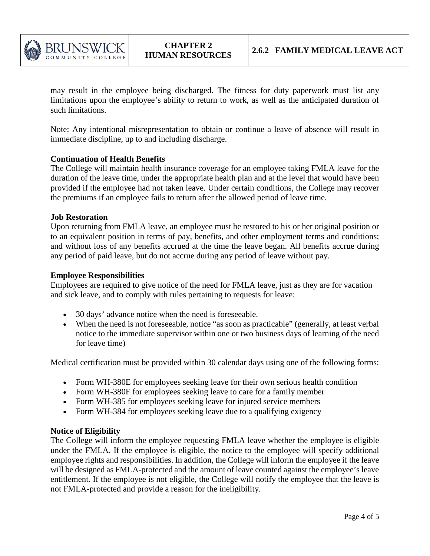

may result in the employee being discharged. The fitness for duty paperwork must list any limitations upon the employee's ability to return to work, as well as the anticipated duration of such limitations.

Note: Any intentional misrepresentation to obtain or continue a leave of absence will result in immediate discipline, up to and including discharge.

#### **Continuation of Health Benefits**

The College will maintain health insurance coverage for an employee taking FMLA leave for the duration of the leave time, under the appropriate health plan and at the level that would have been provided if the employee had not taken leave. Under certain conditions, the College may recover the premiums if an employee fails to return after the allowed period of leave time.

#### **Job Restoration**

Upon returning from FMLA leave, an employee must be restored to his or her original position or to an equivalent position in terms of pay, benefits, and other employment terms and conditions; and without loss of any benefits accrued at the time the leave began. All benefits accrue during any period of paid leave, but do not accrue during any period of leave without pay.

#### **Employee Responsibilities**

Employees are required to give notice of the need for FMLA leave, just as they are for vacation and sick leave, and to comply with rules pertaining to requests for leave:

- 30 days' advance notice when the need is foreseeable.
- When the need is not foreseeable, notice "as soon as practicable" (generally, at least verbal notice to the immediate supervisor within one or two business days of learning of the need for leave time)

Medical certification must be provided within 30 calendar days using one of the following forms:

- Form WH-380E for employees seeking leave for their own serious health condition
- Form WH-380F for employees seeking leave to care for a family member
- Form WH-385 for employees seeking leave for injured service members
- Form WH-384 for employees seeking leave due to a qualifying exigency

#### **Notice of Eligibility**

The College will inform the employee requesting FMLA leave whether the employee is eligible under the FMLA. If the employee is eligible, the notice to the employee will specify additional employee rights and responsibilities. In addition, the College will inform the employee if the leave will be designed as FMLA-protected and the amount of leave counted against the employee's leave entitlement. If the employee is not eligible, the College will notify the employee that the leave is not FMLA-protected and provide a reason for the ineligibility.